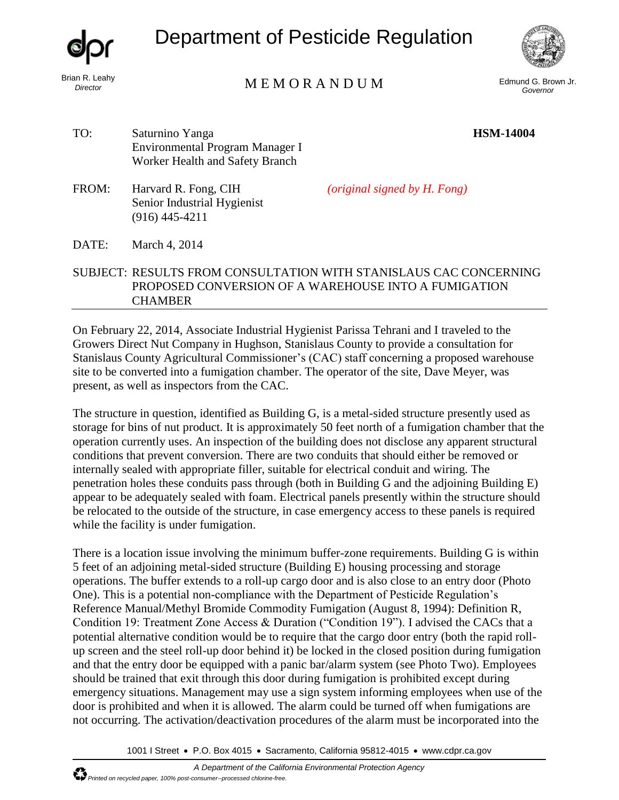*Director*

Department of Pesticide Regulation



## Brian R. Leahy<br>
Director

Edmund G. Brown Jr. *Governor* 

**HSM-14004**

TO: Saturnino Yanga Environmental Program Manager I Worker Health and Safety Branch

FROM: Harvard R. Fong, CIH Senior Industrial Hygienist (916) 445-4211

*(original signed by H. Fong)* 

## DATE: March 4, 2014

## SUBJECT: RESULTS FROM CONSULTATION WITH STANISLAUS CAC CONCERNING PROPOSED CONVERSION OF A WAREHOUSE INTO A FUMIGATION **CHAMBER**

On February 22, 2014, Associate Industrial Hygienist Parissa Tehrani and I traveled to the Growers Direct Nut Company in Hughson, Stanislaus County to provide a consultation for Stanislaus County Agricultural Commissioner's (CAC) staff concerning a proposed warehouse site to be converted into a fumigation chamber. The operator of the site, Dave Meyer, was present, as well as inspectors from the CAC.

The structure in question, identified as Building G, is a metal-sided structure presently used as storage for bins of nut product. It is approximately 50 feet north of a fumigation chamber that the operation currently uses. An inspection of the building does not disclose any apparent structural conditions that prevent conversion. There are two conduits that should either be removed or internally sealed with appropriate filler, suitable for electrical conduit and wiring. The penetration holes these conduits pass through (both in Building G and the adjoining Building E) appear to be adequately sealed with foam. Electrical panels presently within the structure should be relocated to the outside of the structure, in case emergency access to these panels is required while the facility is under fumigation.

There is a location issue involving the minimum buffer-zone requirements. Building G is within 5 feet of an adjoining metal-sided structure (Building E) housing processing and storage operations. The buffer extends to a roll-up cargo door and is also close to an entry door (Photo One). This is a potential non-compliance with the Department of Pesticide Regulation's Reference Manual/Methyl Bromide Commodity Fumigation (August 8, 1994): Definition R, Condition 19: Treatment Zone Access & Duration ("Condition 19"). I advised the CACs that a potential alternative condition would be to require that the cargo door entry (both the rapid rollup screen and the steel roll-up door behind it) be locked in the closed position during fumigation and that the entry door be equipped with a panic bar/alarm system (see Photo Two). Employees should be trained that exit through this door during fumigation is prohibited except during emergency situations. Management may use a sign system informing employees when use of the door is prohibited and when it is allowed. The alarm could be turned off when fumigations are not occurring. The activation/deactivation procedures of the alarm must be incorporated into the

1001 I Street • P.O. Box 4015 • Sacramento, California 95812-4015 • www.cdpr.ca.gov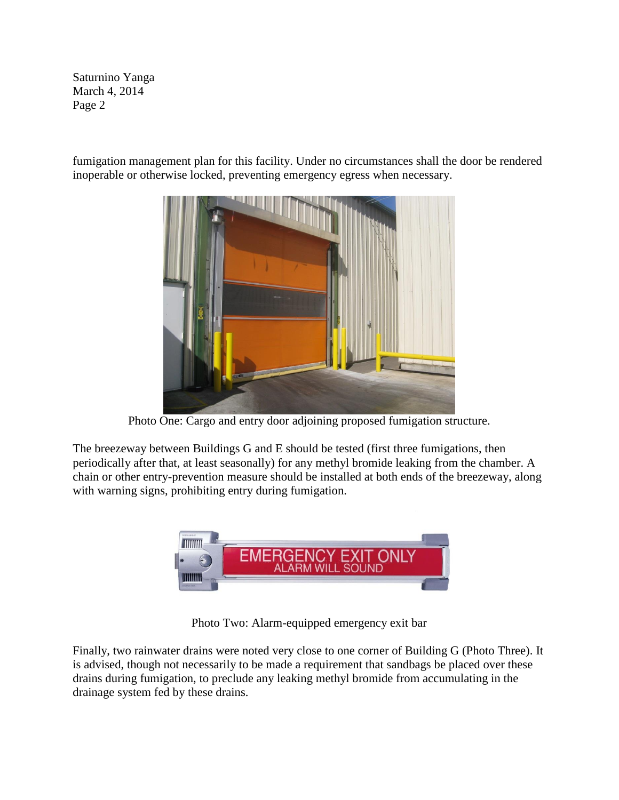Saturnino Yanga March 4, 2014 Page 2

fumigation management plan for this facility. Under no circumstances shall the door be rendered inoperable or otherwise locked, preventing emergency egress when necessary.



Photo One: Cargo and entry door adjoining proposed fumigation structure.

The breezeway between Buildings G and E should be tested (first three fumigations, then periodically after that, at least seasonally) for any methyl bromide leaking from the chamber. A chain or other entry-prevention measure should be installed at both ends of the breezeway, along with warning signs, prohibiting entry during fumigation.



Photo Two: Alarm-equipped emergency exit bar

Finally, two rainwater drains were noted very close to one corner of Building G (Photo Three). It is advised, though not necessarily to be made a requirement that sandbags be placed over these drains during fumigation, to preclude any leaking methyl bromide from accumulating in the drainage system fed by these drains.